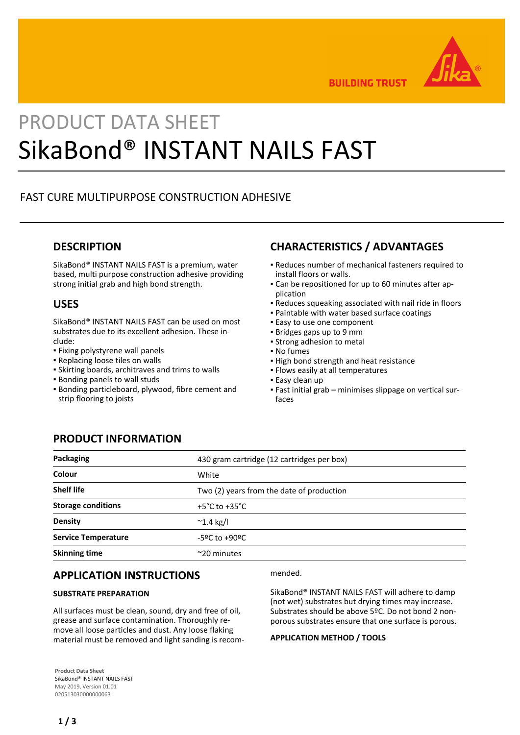

**BUILDING TRUST** 

# PRODUCT DATA SHEET SikaBond® INSTANT NAILS FAST

# FAST CURE MULTIPURPOSE CONSTRUCTION ADHESIVE

## **DESCRIPTION**

SikaBond® INSTANT NAILS FAST is a premium, water based, multi purpose construction adhesive providing strong initial grab and high bond strength.

### **USES**

SikaBond® INSTANT NAILS FAST can be used on most substrates due to its excellent adhesion. These include:

- Fixing polystyrene wall panels
- Replacing loose tiles on walls
- **.** Skirting boards, architraves and trims to walls
- Bonding panels to wall studs
- **Bonding particleboard, plywood, fibre cement and** strip flooring to joists

# **CHARACTERISTICS / ADVANTAGES**

- Reduces number of mechanical fasteners required to install floors or walls.
- Can be repositioned for up to 60 minutes after ap-▪ plication
- Reduces squeaking associated with nail ride in floors
- Paintable with water based surface coatings
- **Easy to use one component**
- Bridges gaps up to 9 mm
- Strong adhesion to metal
- No fumes
- **.** High bond strength and heat resistance
- Flows easily at all temperatures
- **Easy clean up**
- Fast initial grab minimises slippage on vertical sur-▪ faces

## **PRODUCT INFORMATION**

| Packaging                  | 430 gram cartridge (12 cartridges per box)  |
|----------------------------|---------------------------------------------|
| Colour                     | White                                       |
| <b>Shelf life</b>          | Two (2) years from the date of production   |
| <b>Storage conditions</b>  | +5°C to +35°C                               |
| <b>Density</b>             | $^{\sim}$ 1.4 kg/l                          |
| <b>Service Temperature</b> | $-5$ <sup>o</sup> C to $+90$ <sup>o</sup> C |
| <b>Skinning time</b>       | $\sim$ 20 minutes                           |

## **APPLICATION INSTRUCTIONS**

#### **SUBSTRATE PREPARATION**

All surfaces must be clean, sound, dry and free of oil, grease and surface contamination. Thoroughly remove all loose particles and dust. Any loose flaking material must be removed and light sanding is recommended.

SikaBond® INSTANT NAILS FAST will adhere to damp (not wet) substrates but drying times may increase. Substrates should be above 5ºC. Do not bond 2 nonporous substrates ensure that one surface is porous.

#### **APPLICATION METHOD / TOOLS**

**Product Data Sheet** SikaBond® INSTANT NAILS FAST May 2019, Version 01.01 020513030000000063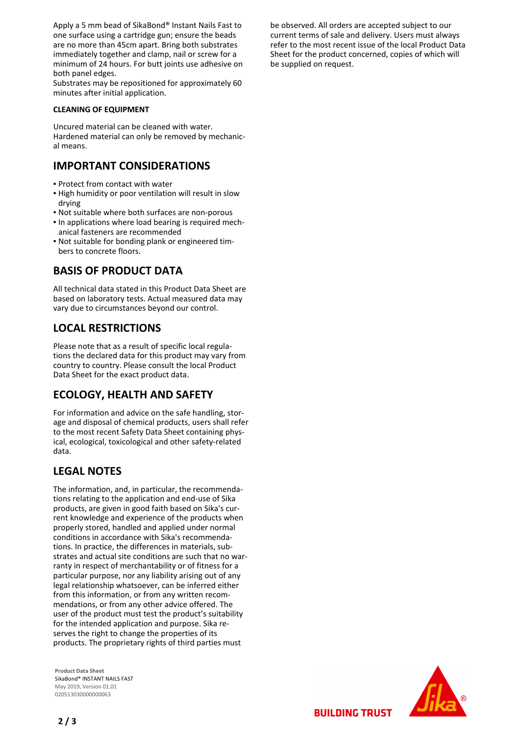Apply a 5 mm bead of SikaBond® Instant Nails Fast to one surface using a cartridge gun; ensure the beads are no more than 45cm apart. Bring both substrates immediately together and clamp, nail or screw for a minimum of 24 hours. For butt joints use adhesive on both panel edges.

Substrates may be repositioned for approximately 60 minutes after initial application.

#### **CLEANING OF EQUIPMENT**

Uncured material can be cleaned with water. Hardened material can only be removed by mechanical means.

## **IMPORTANT CONSIDERATIONS**

- Protect from contact with water
- **.** High humidity or poor ventilation will result in slow drying
- Not suitable where both surfaces are non-porous
- In applications where load bearing is required mechanical fasteners are recommended
- Not suitable for bonding plank or engineered tim-▪ bers to concrete floors.

# **BASIS OF PRODUCT DATA**

All technical data stated in this Product Data Sheet are based on laboratory tests. Actual measured data may vary due to circumstances beyond our control.

## **LOCAL RESTRICTIONS**

Please note that as a result of specific local regulations the declared data for this product may vary from country to country. Please consult the local Product Data Sheet for the exact product data.

# **ECOLOGY, HEALTH AND SAFETY**

For information and advice on the safe handling, storage and disposal of chemical products, users shall refer to the most recent Safety Data Sheet containing physical, ecological, toxicological and other safety-related data.

## **LEGAL NOTES**

The information, and, in particular, the recommendations relating to the application and end-use of Sika products, are given in good faith based on Sika's current knowledge and experience of the products when properly stored, handled and applied under normal conditions in accordance with Sika's recommendations. In practice, the differences in materials, substrates and actual site conditions are such that no warranty in respect of merchantability or of fitness for a particular purpose, nor any liability arising out of any legal relationship whatsoever, can be inferred either from this information, or from any written recommendations, or from any other advice offered. The user of the product must test the product's suitability for the intended application and purpose. Sika reserves the right to change the properties of its products. The proprietary rights of third parties must

**Product Data Sheet** SikaBond® INSTANT NAILS FAST May 2019, Version 01.01 020513030000000063

be observed. All orders are accepted subject to our current terms of sale and delivery. Users must always refer to the most recent issue of the local Product Data Sheet for the product concerned, copies of which will be supplied on request.

**BUILDING TRUST**